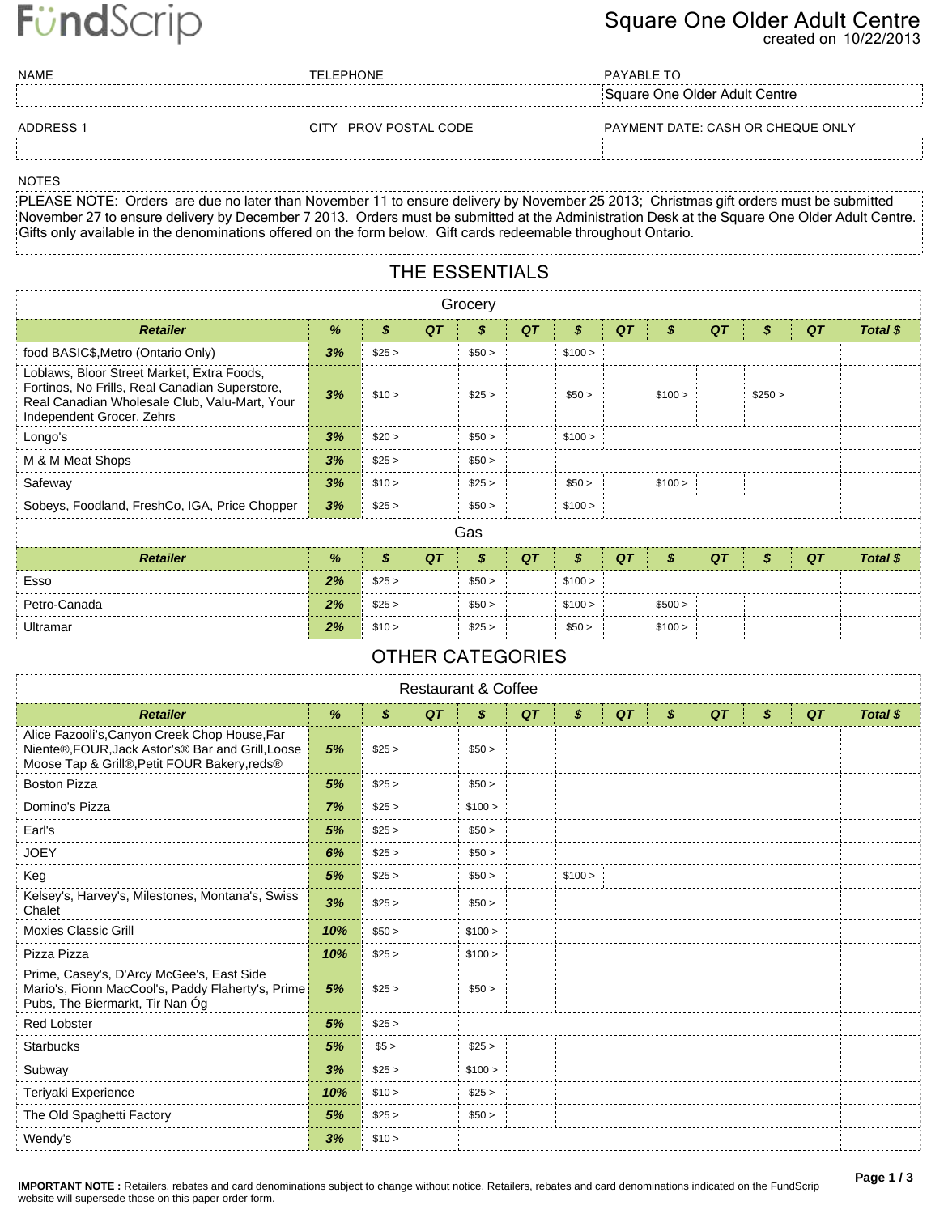# FündScrip

### **Square One Older Adult Centre**

**created on 10/22/2013**

| NAME      | <b>TELEPHONE</b>      | PAYABLE TO                        |
|-----------|-----------------------|-----------------------------------|
|           |                       | Square One Older Adult Centre     |
| ADDRESS 1 | CITY PROV POSTAL CODE | PAYMENT DATE: CASH OR CHEQUE ONLY |
|           |                       |                                   |

#### **NOTES**

NOTES<br>PLEASE NOTE: Orders are due no later than November 11 to ensure delivery by November 25 2013; Christmas gift orders must be submitted: November 27 to ensure delivery by December 7 2013. Orders must be submitted at the Administration Desk at the Square One Older Adult Centre. Gifts only available in the denominations offered on the form below. Gift cards redeemable throughout Ontario.

### **THE ESSENTIALS**

| Grocery                                                                                                                                                                    |    |        |    |        |    |         |    |         |    |         |    |          |  |
|----------------------------------------------------------------------------------------------------------------------------------------------------------------------------|----|--------|----|--------|----|---------|----|---------|----|---------|----|----------|--|
| <b>Retailer</b>                                                                                                                                                            | %  | \$     | QT | S      | QT | \$      | QT | \$      | QT | \$      | QT | Total \$ |  |
| food BASIC\$, Metro (Ontario Only)                                                                                                                                         | 3% | \$25 > |    | \$50 > |    | \$100 > |    |         |    |         |    |          |  |
| Loblaws, Bloor Street Market, Extra Foods,<br>Fortinos, No Frills, Real Canadian Superstore,<br>Real Canadian Wholesale Club, Valu-Mart, Your<br>Independent Grocer, Zehrs | 3% | \$10 > |    | \$25 > |    | \$50 >  |    | \$100 > |    | \$250 > |    |          |  |
| Longo's                                                                                                                                                                    | 3% | \$20 > |    | \$50 > |    | \$100 > |    |         |    |         |    |          |  |
| M & M Meat Shops                                                                                                                                                           | 3% | \$25 > |    | \$50 > |    |         |    |         |    |         |    |          |  |
| Safeway                                                                                                                                                                    | 3% | \$10 > |    | \$25 > |    | \$50 >  |    | \$100 > |    |         |    |          |  |
| Sobeys, Foodland, FreshCo, IGA, Price Chopper                                                                                                                              | 3% | \$25 > |    | \$50 > |    | \$100 > |    |         |    |         |    |          |  |
|                                                                                                                                                                            |    |        |    | Gas    |    |         |    |         |    |         |    |          |  |

| <b>Retailer</b> | $\frac{9}{6}$ |        | <b>QT</b> |        | QT | S       | QT |         | QT | QT | Total |
|-----------------|---------------|--------|-----------|--------|----|---------|----|---------|----|----|-------|
| Esso            | 2%            | \$25 > |           | \$50 > |    | \$100 > |    |         |    |    |       |
| Petro-Canada    | 2%            | \$25 > |           | \$50 > |    | \$100 > |    | \$500 > |    |    |       |
| Ultramar        | 2%            | \$10 > |           | \$25 > |    | \$50 >  |    | \$100 > |    |    |       |

#### **OTHER CATEGORIES**

| <b>Restaurant &amp; Coffee</b>                                                                                                                     |     |                            |    |         |    |         |    |    |  |    |    |    |          |
|----------------------------------------------------------------------------------------------------------------------------------------------------|-----|----------------------------|----|---------|----|---------|----|----|--|----|----|----|----------|
| <b>Retailer</b>                                                                                                                                    | %   | $\boldsymbol{\mathcal{S}}$ | QT | \$      | QT | \$      | QT | \$ |  | QT | \$ | QT | Total \$ |
| Alice Fazooli's, Canyon Creek Chop House, Far<br>Niente®, FOUR, Jack Astor's® Bar and Grill, Loose<br>Moose Tap & Grill®, Petit FOUR Bakery, reds® | 5%  | \$25 >                     |    | \$50 >  |    |         |    |    |  |    |    |    |          |
| <b>Boston Pizza</b>                                                                                                                                | 5%  | \$25 >                     |    | \$50 >  |    |         |    |    |  |    |    |    |          |
| Domino's Pizza                                                                                                                                     | 7%  | \$25 >                     |    | \$100 > |    |         |    |    |  |    |    |    |          |
| Earl's                                                                                                                                             | 5%  | \$25 >                     |    | \$50 >  |    |         |    |    |  |    |    |    |          |
| <b>JOEY</b>                                                                                                                                        | 6%  | \$25 >                     |    | \$50 >  |    |         |    |    |  |    |    |    |          |
| Keg                                                                                                                                                | 5%  | \$25 >                     |    | \$50 >  |    | \$100 > |    |    |  |    |    |    |          |
| Kelsey's, Harvey's, Milestones, Montana's, Swiss<br>Chalet                                                                                         | 3%  | \$25 >                     |    | \$50 >  |    |         |    |    |  |    |    |    |          |
| <b>Moxies Classic Grill</b>                                                                                                                        | 10% | \$50 >                     |    | \$100 > |    |         |    |    |  |    |    |    |          |
| Pizza Pizza                                                                                                                                        | 10% | \$25 >                     |    | \$100 > |    |         |    |    |  |    |    |    |          |
| Prime, Casey's, D'Arcy McGee's, East Side<br>Mario's, Fionn MacCool's, Paddy Flaherty's, Prime<br>Pubs, The Biermarkt, Tir Nan Óg                  | 5%  | \$25 >                     |    | \$50 >  |    |         |    |    |  |    |    |    |          |
| <b>Red Lobster</b>                                                                                                                                 | 5%  | \$25 >                     |    |         |    |         |    |    |  |    |    |    |          |
| <b>Starbucks</b>                                                                                                                                   | 5%  | \$5 >                      |    | \$25 >  |    |         |    |    |  |    |    |    |          |
| Subway                                                                                                                                             | 3%  | \$25 >                     |    | \$100 > |    |         |    |    |  |    |    |    |          |
| Teriyaki Experience                                                                                                                                | 10% | \$10 >                     |    | \$25 >  |    |         |    |    |  |    |    |    |          |
| The Old Spaghetti Factory                                                                                                                          | 5%  | \$25 >                     |    | \$50 >  |    |         |    |    |  |    |    |    |          |
| Wendy's                                                                                                                                            | 3%  | \$10 >                     |    |         |    |         |    |    |  |    |    |    |          |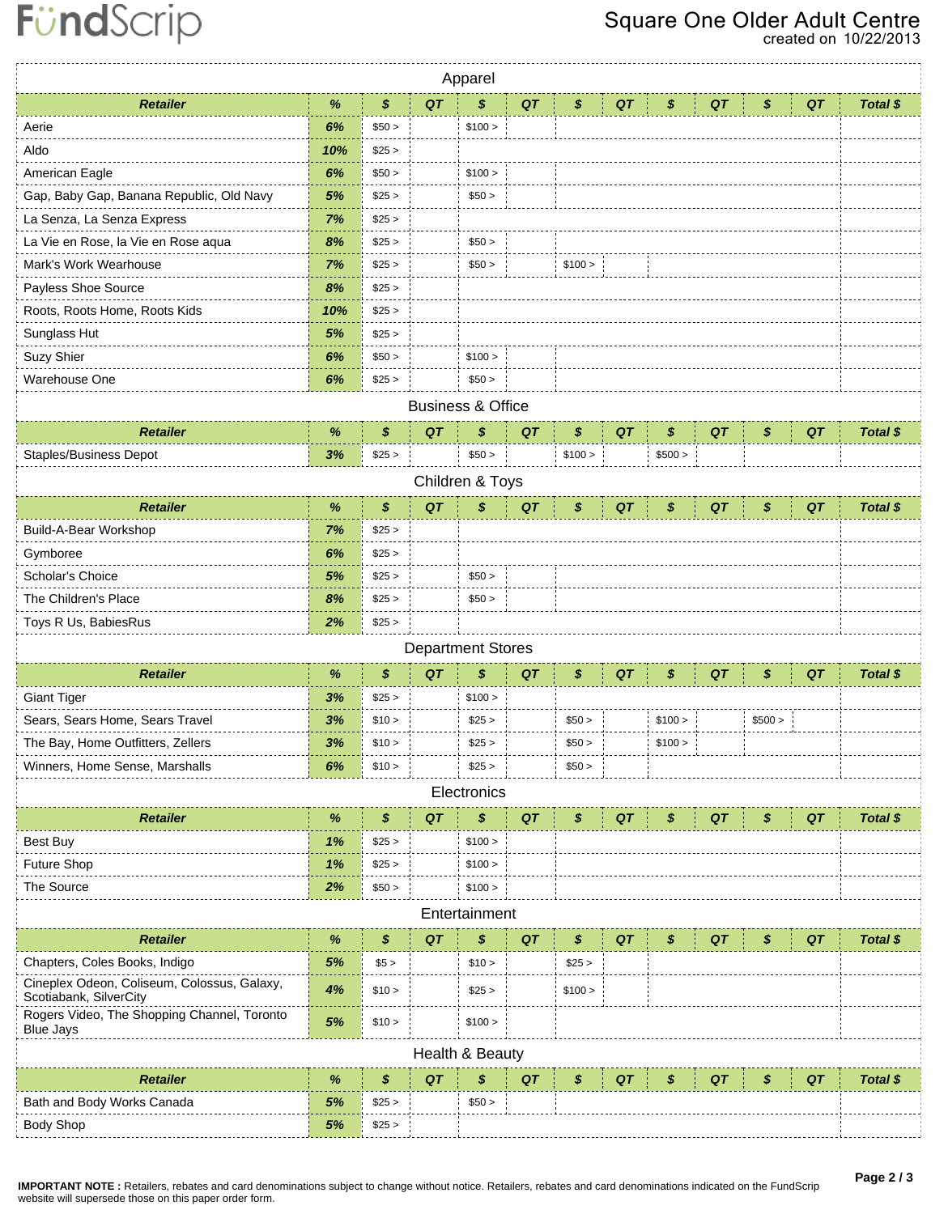## **Square One Older Adult Centre**

**created on 10/22/2013**

| \$<br>$\%$<br>QT<br>\$<br>QT<br>QT<br>Total \$<br><b>Retailer</b><br>\$<br>QT<br>QT<br>\$<br>\$<br>6%<br>Aerie<br>\$50 ><br>\$100 ><br>10%<br>Aldo<br>\$25 ><br>American Eagle<br>6%<br>\$50 ><br>\$100 ><br>Gap, Baby Gap, Banana Republic, Old Navy<br>5%<br>\$25 ><br>\$50 ><br>La Senza, La Senza Express<br>7%<br>\$25 ><br>La Vie en Rose, la Vie en Rose aqua<br>8%<br>\$25 ><br>\$50 ><br>7%<br>Mark's Work Wearhouse<br>\$25 ><br>\$50 ><br>\$100 ><br>Payless Shoe Source<br>8%<br>\$25 ><br>10%<br>\$25 ><br>Roots, Roots Home, Roots Kids<br>Sunglass Hut<br>5%<br>\$25 ><br>Suzy Shier<br>6%<br>\$100 ><br>\$50 > |  |  |  |  |  |  |  |  |  |  |  |  |
|--------------------------------------------------------------------------------------------------------------------------------------------------------------------------------------------------------------------------------------------------------------------------------------------------------------------------------------------------------------------------------------------------------------------------------------------------------------------------------------------------------------------------------------------------------------------------------------------------------------------------------|--|--|--|--|--|--|--|--|--|--|--|--|
|                                                                                                                                                                                                                                                                                                                                                                                                                                                                                                                                                                                                                                |  |  |  |  |  |  |  |  |  |  |  |  |
|                                                                                                                                                                                                                                                                                                                                                                                                                                                                                                                                                                                                                                |  |  |  |  |  |  |  |  |  |  |  |  |
|                                                                                                                                                                                                                                                                                                                                                                                                                                                                                                                                                                                                                                |  |  |  |  |  |  |  |  |  |  |  |  |
|                                                                                                                                                                                                                                                                                                                                                                                                                                                                                                                                                                                                                                |  |  |  |  |  |  |  |  |  |  |  |  |
|                                                                                                                                                                                                                                                                                                                                                                                                                                                                                                                                                                                                                                |  |  |  |  |  |  |  |  |  |  |  |  |
|                                                                                                                                                                                                                                                                                                                                                                                                                                                                                                                                                                                                                                |  |  |  |  |  |  |  |  |  |  |  |  |
|                                                                                                                                                                                                                                                                                                                                                                                                                                                                                                                                                                                                                                |  |  |  |  |  |  |  |  |  |  |  |  |
|                                                                                                                                                                                                                                                                                                                                                                                                                                                                                                                                                                                                                                |  |  |  |  |  |  |  |  |  |  |  |  |
|                                                                                                                                                                                                                                                                                                                                                                                                                                                                                                                                                                                                                                |  |  |  |  |  |  |  |  |  |  |  |  |
|                                                                                                                                                                                                                                                                                                                                                                                                                                                                                                                                                                                                                                |  |  |  |  |  |  |  |  |  |  |  |  |
|                                                                                                                                                                                                                                                                                                                                                                                                                                                                                                                                                                                                                                |  |  |  |  |  |  |  |  |  |  |  |  |
|                                                                                                                                                                                                                                                                                                                                                                                                                                                                                                                                                                                                                                |  |  |  |  |  |  |  |  |  |  |  |  |
| Warehouse One<br>6%<br>\$25 ><br>\$50 >                                                                                                                                                                                                                                                                                                                                                                                                                                                                                                                                                                                        |  |  |  |  |  |  |  |  |  |  |  |  |
| <b>Business &amp; Office</b>                                                                                                                                                                                                                                                                                                                                                                                                                                                                                                                                                                                                   |  |  |  |  |  |  |  |  |  |  |  |  |
| \$<br>\$<br>\$<br>\$<br>QT<br><b>Retailer</b><br>QT<br>QT<br>QT<br>\$<br>%<br>QT<br>Total \$                                                                                                                                                                                                                                                                                                                                                                                                                                                                                                                                   |  |  |  |  |  |  |  |  |  |  |  |  |
| <b>Staples/Business Depot</b><br>3%<br>\$25 ><br>\$50 ><br>\$500 ><br>\$100 >                                                                                                                                                                                                                                                                                                                                                                                                                                                                                                                                                  |  |  |  |  |  |  |  |  |  |  |  |  |
| Children & Toys                                                                                                                                                                                                                                                                                                                                                                                                                                                                                                                                                                                                                |  |  |  |  |  |  |  |  |  |  |  |  |
| %<br>\$<br>QT<br>QT<br><b>Retailer</b><br>\$<br>QT<br>\$<br>QT<br>\$<br>QT<br>\$<br>Total \$                                                                                                                                                                                                                                                                                                                                                                                                                                                                                                                                   |  |  |  |  |  |  |  |  |  |  |  |  |
| Build-A-Bear Workshop<br>7%<br>\$25 >                                                                                                                                                                                                                                                                                                                                                                                                                                                                                                                                                                                          |  |  |  |  |  |  |  |  |  |  |  |  |
| Gymboree<br>6%<br>\$25 >                                                                                                                                                                                                                                                                                                                                                                                                                                                                                                                                                                                                       |  |  |  |  |  |  |  |  |  |  |  |  |
| Scholar's Choice<br>5%<br>\$50 ><br>\$25 >                                                                                                                                                                                                                                                                                                                                                                                                                                                                                                                                                                                     |  |  |  |  |  |  |  |  |  |  |  |  |
| The Children's Place<br>8%<br>\$25 ><br>\$50 >                                                                                                                                                                                                                                                                                                                                                                                                                                                                                                                                                                                 |  |  |  |  |  |  |  |  |  |  |  |  |
| 2%<br>Toys R Us, BabiesRus<br>\$25 >                                                                                                                                                                                                                                                                                                                                                                                                                                                                                                                                                                                           |  |  |  |  |  |  |  |  |  |  |  |  |
| <b>Department Stores</b>                                                                                                                                                                                                                                                                                                                                                                                                                                                                                                                                                                                                       |  |  |  |  |  |  |  |  |  |  |  |  |
| \$<br>QT<br>\$<br>QT<br>QT<br><b>Retailer</b><br>$\%$<br>\$<br>QT<br>QT<br>\$<br>Total \$<br>\$                                                                                                                                                                                                                                                                                                                                                                                                                                                                                                                                |  |  |  |  |  |  |  |  |  |  |  |  |
| <b>Giant Tiger</b><br>3%<br>\$25 ><br>\$100 >                                                                                                                                                                                                                                                                                                                                                                                                                                                                                                                                                                                  |  |  |  |  |  |  |  |  |  |  |  |  |
| Sears, Sears Home, Sears Travel<br>3%<br>\$10 ><br>\$25 ><br>\$50 ><br>\$100 ><br>\$500 >                                                                                                                                                                                                                                                                                                                                                                                                                                                                                                                                      |  |  |  |  |  |  |  |  |  |  |  |  |
| The Bay, Home Outfitters, Zellers<br>3%<br>\$10 ><br>\$25 ><br>\$50 ><br>\$100 >                                                                                                                                                                                                                                                                                                                                                                                                                                                                                                                                               |  |  |  |  |  |  |  |  |  |  |  |  |
| Winners, Home Sense, Marshalls<br>6%<br>\$10 ><br>\$25 ><br>\$50 >                                                                                                                                                                                                                                                                                                                                                                                                                                                                                                                                                             |  |  |  |  |  |  |  |  |  |  |  |  |
| Electronics                                                                                                                                                                                                                                                                                                                                                                                                                                                                                                                                                                                                                    |  |  |  |  |  |  |  |  |  |  |  |  |
| \$<br>\$<br><b>Retailer</b><br>$\%$<br>QT<br>QT<br>\$<br>QT<br>QT<br>\$<br>QT<br>\$<br>Total \$                                                                                                                                                                                                                                                                                                                                                                                                                                                                                                                                |  |  |  |  |  |  |  |  |  |  |  |  |
| 1%<br>\$25 ><br>\$100 ><br>Best Buy                                                                                                                                                                                                                                                                                                                                                                                                                                                                                                                                                                                            |  |  |  |  |  |  |  |  |  |  |  |  |
| Future Shop<br>1%<br>\$25 ><br>\$100 >                                                                                                                                                                                                                                                                                                                                                                                                                                                                                                                                                                                         |  |  |  |  |  |  |  |  |  |  |  |  |
| 2%<br>The Source<br>\$50 ><br>\$100 >                                                                                                                                                                                                                                                                                                                                                                                                                                                                                                                                                                                          |  |  |  |  |  |  |  |  |  |  |  |  |
| Entertainment                                                                                                                                                                                                                                                                                                                                                                                                                                                                                                                                                                                                                  |  |  |  |  |  |  |  |  |  |  |  |  |
| \$<br><b>Retailer</b><br>$\%$<br>QT<br>\$<br>QT<br>\$<br>QT<br>QT<br>\$<br>QT<br>\$<br>Total \$                                                                                                                                                                                                                                                                                                                                                                                                                                                                                                                                |  |  |  |  |  |  |  |  |  |  |  |  |
| Chapters, Coles Books, Indigo<br>5%<br>\$25 ><br>\$5 ><br>\$10 >                                                                                                                                                                                                                                                                                                                                                                                                                                                                                                                                                               |  |  |  |  |  |  |  |  |  |  |  |  |
| Cineplex Odeon, Coliseum, Colossus, Galaxy,<br>4%<br>\$10 ><br>\$25 ><br>\$100 ><br>Scotiabank, SilverCity                                                                                                                                                                                                                                                                                                                                                                                                                                                                                                                     |  |  |  |  |  |  |  |  |  |  |  |  |
| Rogers Video, The Shopping Channel, Toronto<br>$5%$<br>\$10 ><br>\$100 ><br><b>Blue Jays</b>                                                                                                                                                                                                                                                                                                                                                                                                                                                                                                                                   |  |  |  |  |  |  |  |  |  |  |  |  |
| Health & Beauty                                                                                                                                                                                                                                                                                                                                                                                                                                                                                                                                                                                                                |  |  |  |  |  |  |  |  |  |  |  |  |
| $\%$<br>\$<br>QT<br><b>Retailer</b><br>\$<br>QT<br>QT<br>Total \$<br>S<br>QT<br>QT<br>S                                                                                                                                                                                                                                                                                                                                                                                                                                                                                                                                        |  |  |  |  |  |  |  |  |  |  |  |  |
| Bath and Body Works Canada<br>5%<br>\$25 ><br>\$50 >                                                                                                                                                                                                                                                                                                                                                                                                                                                                                                                                                                           |  |  |  |  |  |  |  |  |  |  |  |  |
| <b>Body Shop</b><br>5%<br>\$25 >                                                                                                                                                                                                                                                                                                                                                                                                                                                                                                                                                                                               |  |  |  |  |  |  |  |  |  |  |  |  |

**IMPORTANT NOTE :** Retailers, rebates and card denominations subject to change without notice. Retailers, rebates and card denominations indicated on the FundScrip website will supersede those on this paper order form.